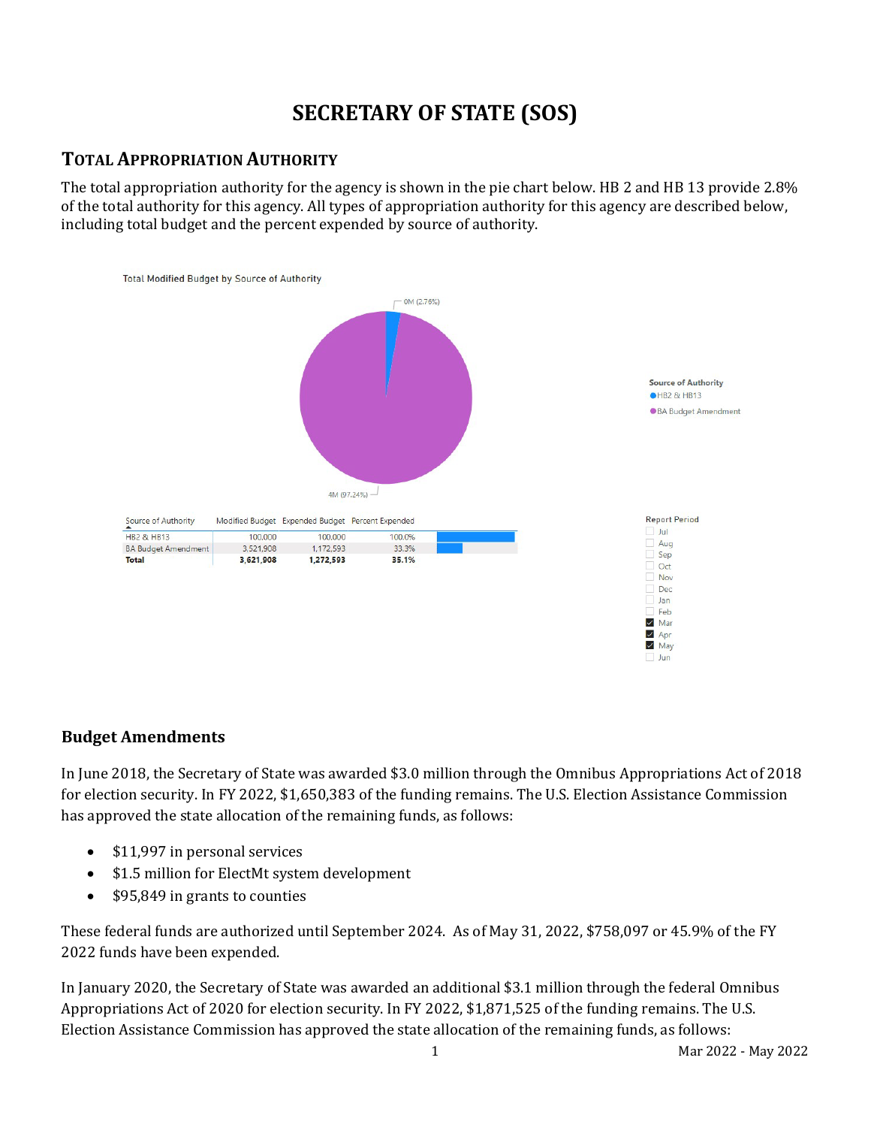# **SECRETARY OF STATE (SOS)**

### **TOTAL APPROPRIATION AUTHORITY**

The total appropriation authority for the agency is shown in the pie chart below. HB 2 and HB 13 provide 2.8% of the total authority for this agency. All types of appropriation authority for this agency are described below, including total budget and the percent expended by source of authority.



### **Budget Amendments**

In June 2018, the Secretary of State was awarded \$3.0 million through the Omnibus Appropriations Act of 2018 for election security. In FY 2022, \$1,650,383 of the funding remains. The U.S. Election Assistance Commission has approved the state allocation of the remaining funds, as follows:

- \$11,997 in personal services
- \$1.5 million for ElectMt system development
- \$95,849 in grants to counties

These federal funds are authorized until September 2024. As of May 31, 2022, \$758,097 or 45.9% of the FY 2022 funds have been expended.

In January 2020, the Secretary of State was awarded an additional \$3.1 million through the federal Omnibus Appropriations Act of 2020 for election security. In FY 2022, \$1,871,525 of the funding remains. The U.S. Election Assistance Commission has approved the state allocation of the remaining funds, as follows: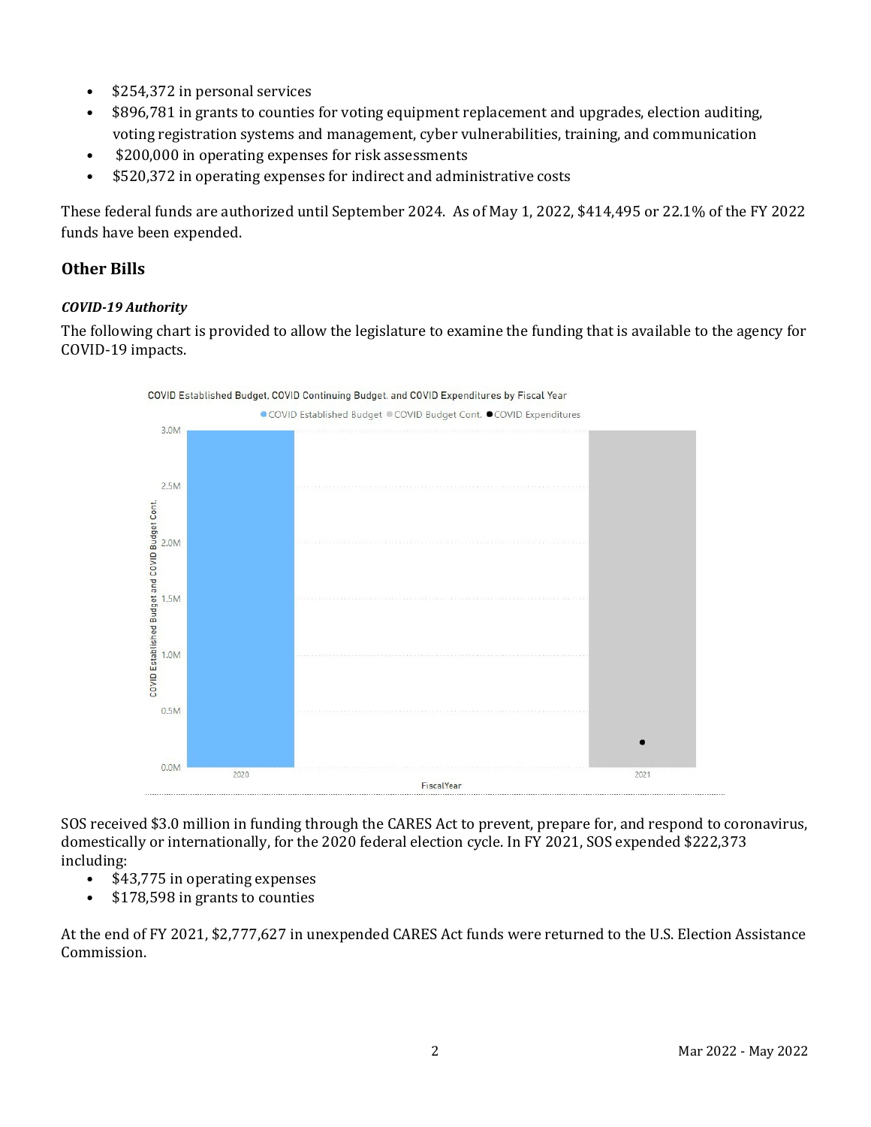- \$254,372 in personal services
- \$896,781 in grants to counties for voting equipment replacement and upgrades, election auditing, voting registration systems and management, cyber vulnerabilities, training, and communication
- \$200,000 in operating expenses for risk assessments
- \$520,372 in operating expenses for indirect and administrative costs

These federal funds are authorized until September 2024. As of May 1, 2022, \$414,495 or 22.1% of the FY 2022 funds have been expended.

### **Other Bills**

#### *COVID-19 Authority*

The following chart is provided to allow the legislature to examine the funding that is available to the agency for COVID-19 impacts.



SOS received \$3.0 million in funding through the CARES Act to prevent, prepare for, and respond to coronavirus, domestically or internationally, for the 2020 federal election cycle. In FY 2021, SOS expended \$222,373 including:

- \$43,775 in operating expenses
- $$178,598$  in grants to counties

At the end of FY 2021, \$2,777,627 in unexpended CARES Act funds were returned to the U.S. Election Assistance Commission.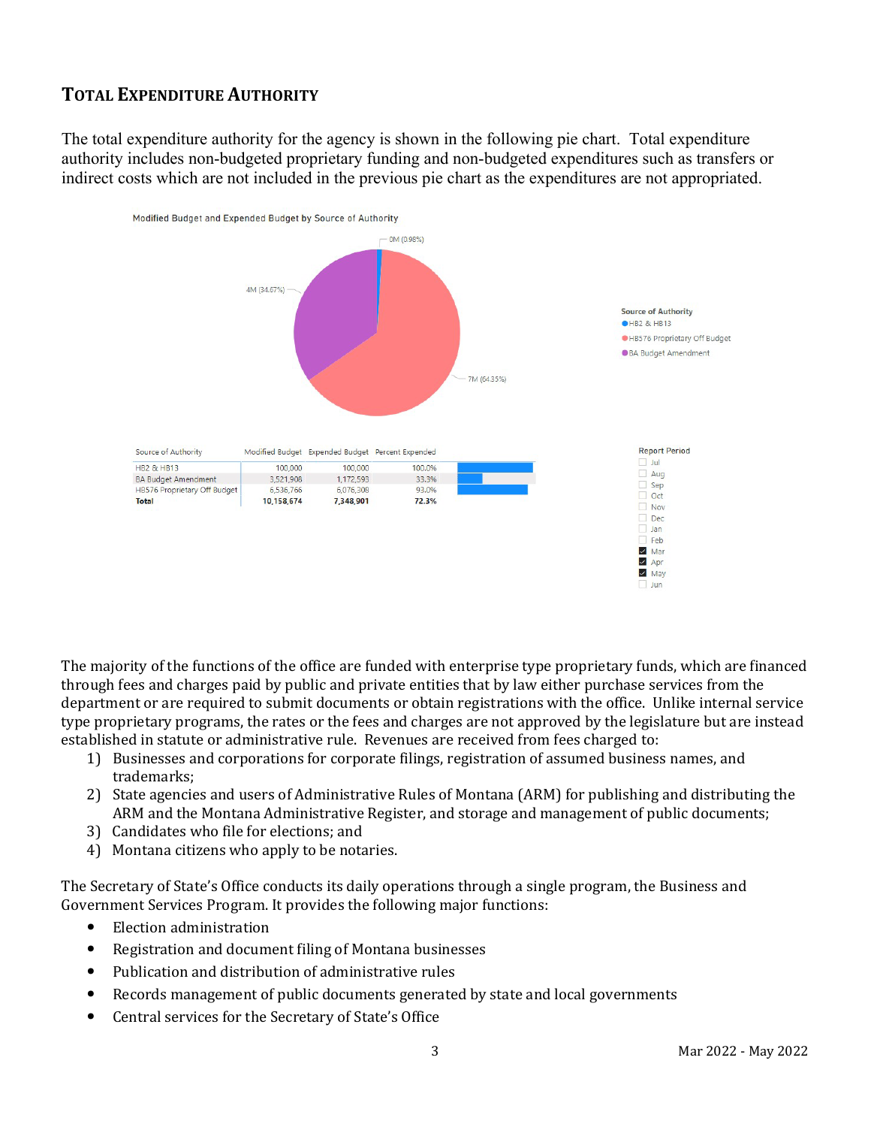### **TOTAL EXPENDITURE AUTHORITY**

The total expenditure authority for the agency is shown in the following pie chart. Total expenditure authority includes non-budgeted proprietary funding and non-budgeted expenditures such as transfers or indirect costs which are not included in the previous pie chart as the expenditures are not appropriated.



The majority of the functions of the office are funded with enterprise type proprietary funds, which are financed through fees and charges paid by public and private entities that by law either purchase services from the department or are required to submit documents or obtain registrations with the office. Unlike internal service type proprietary programs, the rates or the fees and charges are not approved by the legislature but are instead established in statute or administrative rule. Revenues are received from fees charged to:

- 1) Businesses and corporations for corporate filings, registration of assumed business names, and trademarks;
- 2) State agencies and users of Administrative Rules of Montana (ARM) for publishing and distributing the ARM and the Montana Administrative Register, and storage and management of public documents;
- 3) Candidates who file for elections; and
- 4) Montana citizens who apply to be notaries.

The Secretary of State's Office conducts its daily operations through a single program, the Business and Government Services Program. It provides the following major functions:

- Election administration
- Registration and document filing of Montana businesses
- Publication and distribution of administrative rules
- Records management of public documents generated by state and local governments
- Central services for the Secretary of State's Office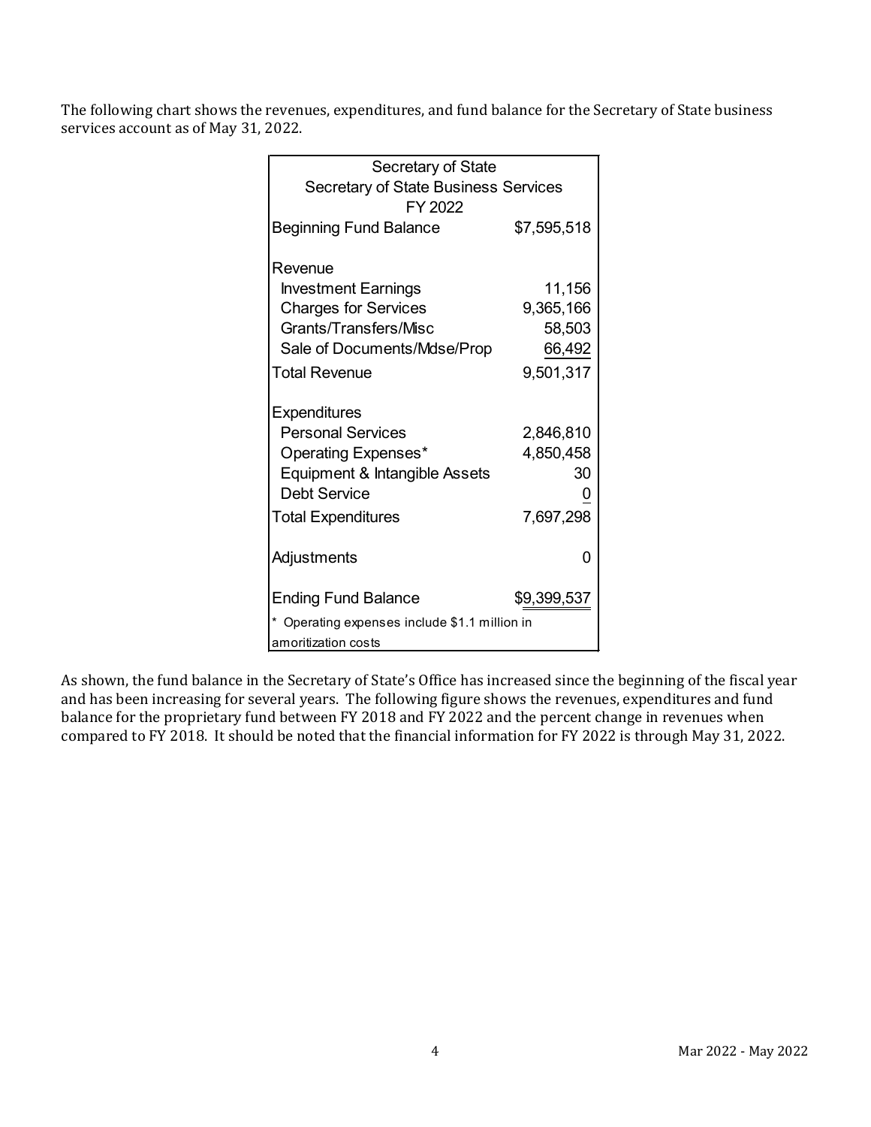The following chart shows the revenues, expenditures, and fund balance for the Secretary of State business services account as of May 31, 2022.

| Secretary of State                                     |             |  |  |  |  |
|--------------------------------------------------------|-------------|--|--|--|--|
| <b>Secretary of State Business Services</b><br>FY 2022 |             |  |  |  |  |
| Beginning Fund Balance                                 | \$7,595,518 |  |  |  |  |
| Revenue                                                |             |  |  |  |  |
| <b>Investment Earnings</b>                             | 11,156      |  |  |  |  |
| <b>Charges for Services</b>                            | 9,365,166   |  |  |  |  |
| Grants/Transfers/Misc                                  | 58,503      |  |  |  |  |
| Sale of Documents/Mdse/Prop                            | 66,492      |  |  |  |  |
| <b>Total Revenue</b>                                   | 9,501,317   |  |  |  |  |
| <b>Expenditures</b>                                    |             |  |  |  |  |
| <b>Personal Services</b>                               | 2,846,810   |  |  |  |  |
| <b>Operating Expenses*</b>                             | 4,850,458   |  |  |  |  |
| Equipment & Intangible Assets                          | 30          |  |  |  |  |
| <b>Debt Service</b>                                    |             |  |  |  |  |
| <b>Total Expenditures</b>                              | 7,697,298   |  |  |  |  |
| Adjustments                                            | O           |  |  |  |  |
| Ending Fund Balance                                    | \$9,399,537 |  |  |  |  |
| Operating expenses include \$1.1 million in            |             |  |  |  |  |
| amoritization costs                                    |             |  |  |  |  |

As shown, the fund balance in the Secretary of State's Office has increased since the beginning of the fiscal year and has been increasing for several years. The following figure shows the revenues, expenditures and fund balance for the proprietary fund between FY 2018 and FY 2022 and the percent change in revenues when compared to FY 2018. It should be noted that the financial information for FY 2022 is through May 31, 2022.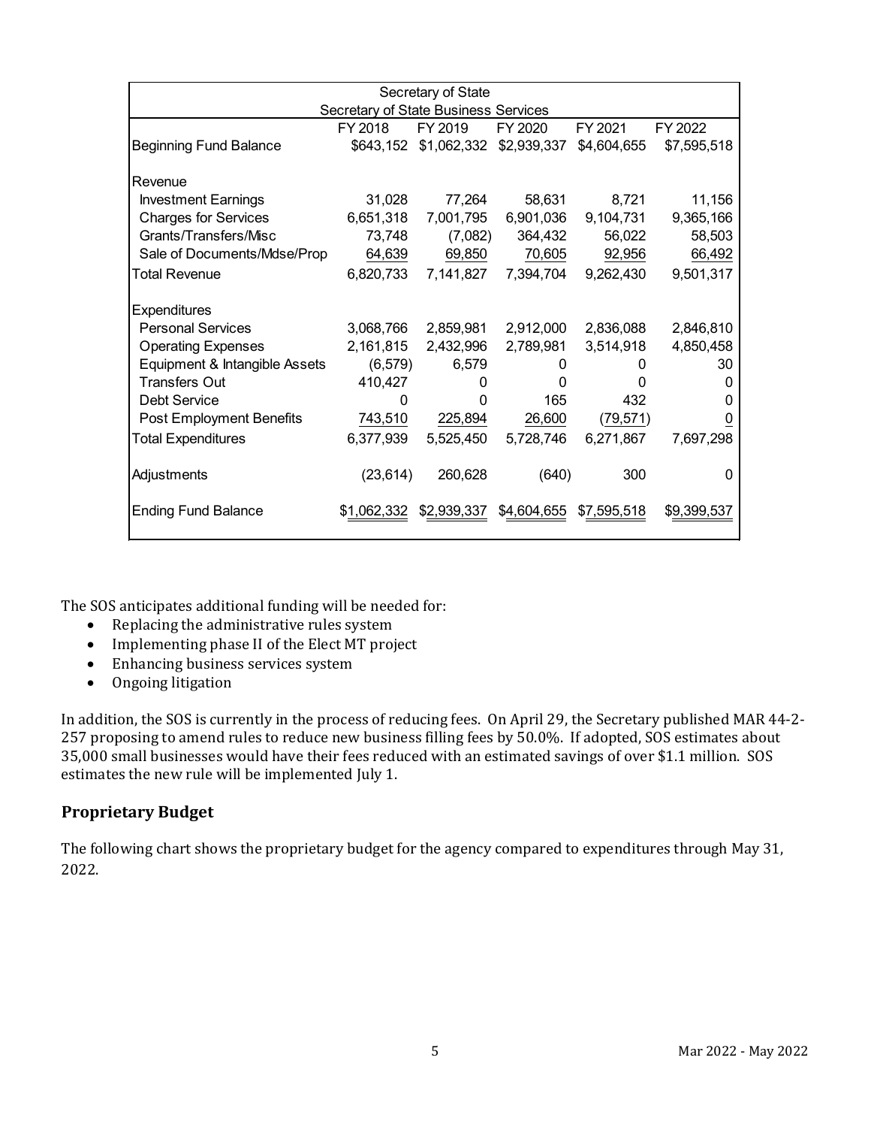| Secretary of State                   |             |             |             |             |             |  |  |
|--------------------------------------|-------------|-------------|-------------|-------------|-------------|--|--|
| Secretary of State Business Services |             |             |             |             |             |  |  |
|                                      | FY 2018     | FY 2019     | FY 2020     | FY 2021     | FY 2022     |  |  |
| <b>Beginning Fund Balance</b>        | \$643,152   | \$1,062,332 | \$2,939,337 | \$4,604,655 | \$7,595,518 |  |  |
| Revenue                              |             |             |             |             |             |  |  |
| <b>Investment Earnings</b>           | 31,028      | 77,264      | 58,631      | 8,721       | 11,156      |  |  |
| <b>Charges for Services</b>          | 6,651,318   | 7,001,795   | 6,901,036   | 9,104,731   | 9,365,166   |  |  |
| Grants/Transfers/Misc                | 73,748      | (7,082)     | 364,432     | 56,022      | 58,503      |  |  |
| Sale of Documents/Mdse/Prop          | 64,639      | 69,850      | 70,605      | 92,956      | 66,492      |  |  |
| <b>Total Revenue</b>                 | 6,820,733   | 7,141,827   | 7,394,704   | 9,262,430   | 9,501,317   |  |  |
| <b>Expenditures</b>                  |             |             |             |             |             |  |  |
| <b>Personal Services</b>             | 3,068,766   | 2,859,981   | 2,912,000   | 2,836,088   | 2,846,810   |  |  |
| <b>Operating Expenses</b>            | 2,161,815   | 2,432,996   | 2,789,981   | 3,514,918   | 4,850,458   |  |  |
| Equipment & Intangible Assets        | (6, 579)    | 6,579       | 0           | 0           | 30          |  |  |
| <b>Transfers Out</b>                 | 410,427     | 0           | 0           |             | 0           |  |  |
| Debt Service                         | 0           | O           | 165         | 432         | 0           |  |  |
| <b>Post Employment Benefits</b>      | 743,510     | 225,894     | 26,600      | (79,571)    | 0           |  |  |
| <b>Total Expenditures</b>            | 6,377,939   | 5,525,450   | 5,728,746   | 6,271,867   | 7,697,298   |  |  |
| Adjustments                          | (23, 614)   | 260,628     | (640)       | 300         | 0           |  |  |
| <b>Ending Fund Balance</b>           | \$1,062,332 | \$2,939,337 | \$4,604,655 | \$7,595,518 | \$9,399,537 |  |  |

The SOS anticipates additional funding will be needed for:

- Replacing the administrative rules system
- Implementing phase II of the Elect MT project
- Enhancing business services system
- Ongoing litigation

In addition, the SOS is currently in the process of reducing fees. On April 29, the Secretary published MAR 44-2- 257 proposing to amend rules to reduce new business filling fees by 50.0%. If adopted, SOS estimates about 35,000 small businesses would have their fees reduced with an estimated savings of over \$1.1 million. SOS estimates the new rule will be implemented July 1.

#### **Proprietary Budget**

The following chart shows the proprietary budget for the agency compared to expenditures through May 31, 2022.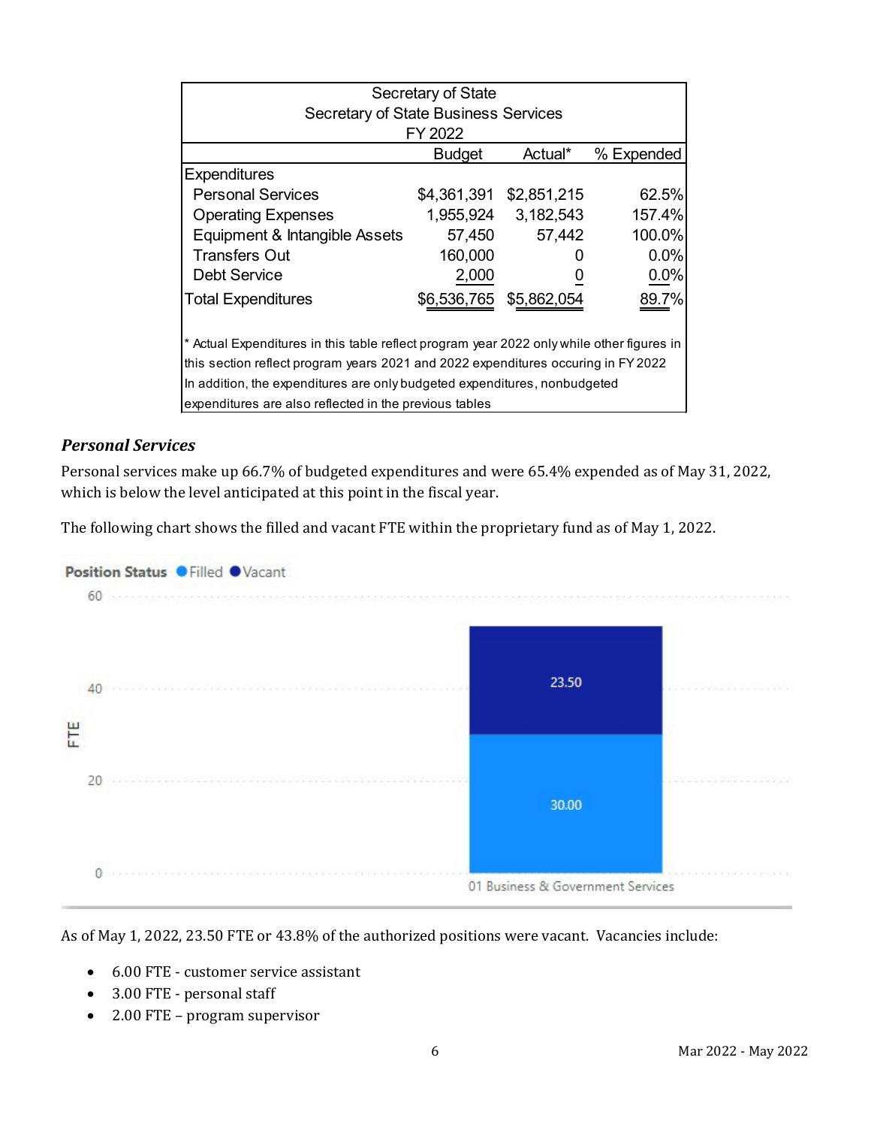| Secretary of State                                                                        |               |                         |            |  |  |  |
|-------------------------------------------------------------------------------------------|---------------|-------------------------|------------|--|--|--|
| <b>Secretary of State Business Services</b>                                               |               |                         |            |  |  |  |
| FY 2022                                                                                   |               |                         |            |  |  |  |
|                                                                                           | <b>Budget</b> | Actual*                 | % Expended |  |  |  |
| <b>Expenditures</b>                                                                       |               |                         |            |  |  |  |
| <b>Personal Services</b>                                                                  |               | \$4,361,391 \$2,851,215 | 62.5%      |  |  |  |
| <b>Operating Expenses</b>                                                                 |               | 1,955,924 3,182,543     | 157.4%     |  |  |  |
| Equipment & Intangible Assets                                                             | 57,450        | 57,442                  | 100.0%     |  |  |  |
| Transfers Out                                                                             | 160,000       |                         | 0.0%       |  |  |  |
| <b>Debt Service</b>                                                                       | 2,000         |                         | 0.0%       |  |  |  |
| <b>Total Expenditures</b>                                                                 | \$6,536,765   | \$5,862,054             | 89.7%      |  |  |  |
| * Actual Expenditures in this table reflect program year 2022 only while other figures in |               |                         |            |  |  |  |
| this section reflect program years 2021 and 2022 expenditures occuring in FY 2022         |               |                         |            |  |  |  |
| In addition, the expenditures are only budgeted expenditures, nonbudgeted                 |               |                         |            |  |  |  |
| expenditures are also reflected in the previous tables                                    |               |                         |            |  |  |  |

#### *Personal Services*

Personal services make up 66.7% of budgeted expenditures and were 65.4% expended as of May 31, 2022, which is below the level anticipated at this point in the fiscal year.

The following chart shows the filled and vacant FTE within the proprietary fund as of May 1, 2022.



As of May 1, 2022, 23.50 FTE or 43.8% of the authorized positions were vacant. Vacancies include:

- 6.00 FTE customer service assistant
- 3.00 FTE personal staff
- 2.00 FTE program supervisor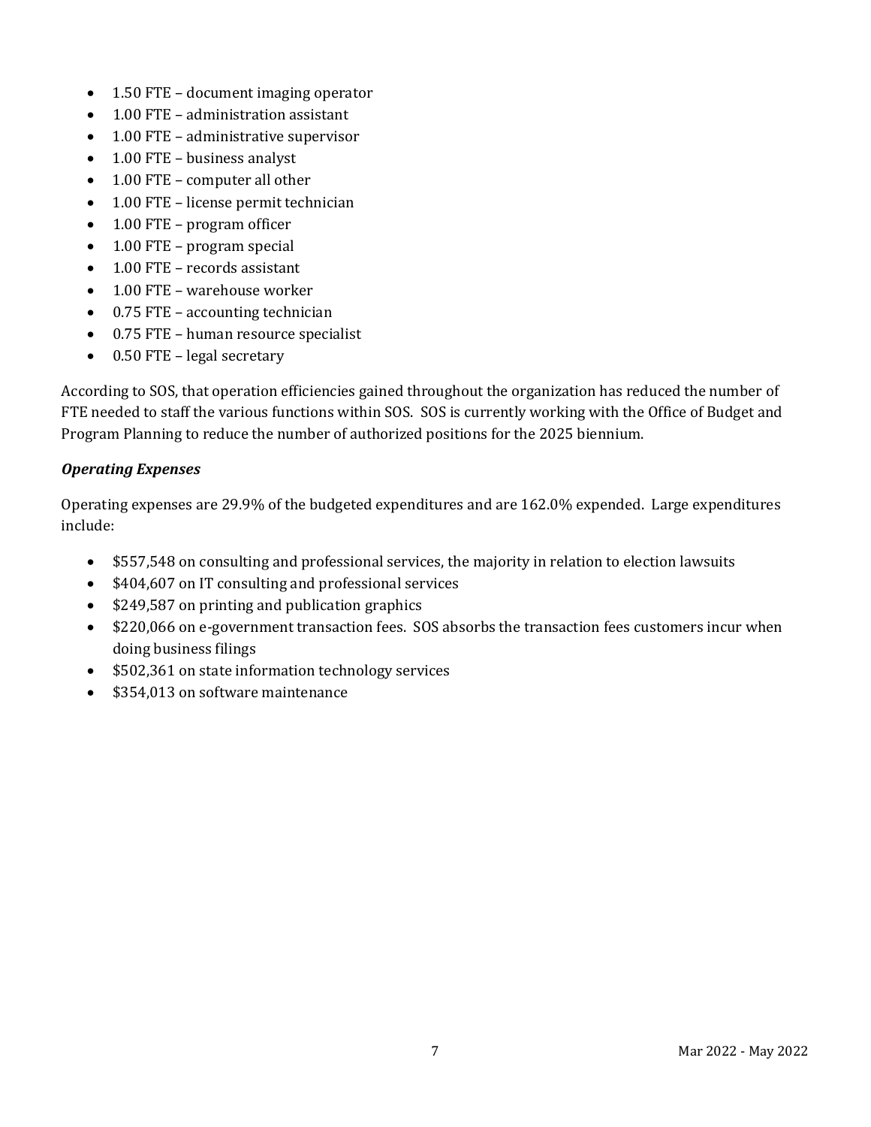- 1.50 FTE document imaging operator
- 1.00 FTE administration assistant
- 1.00 FTE administrative supervisor
- 1.00 FTE business analyst
- 1.00 FTE computer all other
- 1.00 FTE license permit technician
- 1.00 FTE program officer
- 1.00 FTE program special
- 1.00 FTE records assistant
- 1.00 FTE warehouse worker
- 0.75 FTE accounting technician
- 0.75 FTE human resource specialist
- 0.50 FTE legal secretary

According to SOS, that operation efficiencies gained throughout the organization has reduced the number of FTE needed to staff the various functions within SOS. SOS is currently working with the Office of Budget and Program Planning to reduce the number of authorized positions for the 2025 biennium.

#### *Operating Expenses*

Operating expenses are 29.9% of the budgeted expenditures and are 162.0% expended. Large expenditures include:

- \$557,548 on consulting and professional services, the majority in relation to election lawsuits
- \$404,607 on IT consulting and professional services
- \$249,587 on printing and publication graphics
- \$220,066 on e-government transaction fees. SOS absorbs the transaction fees customers incur when doing business filings
- \$502,361 on state information technology services
- \$354,013 on software maintenance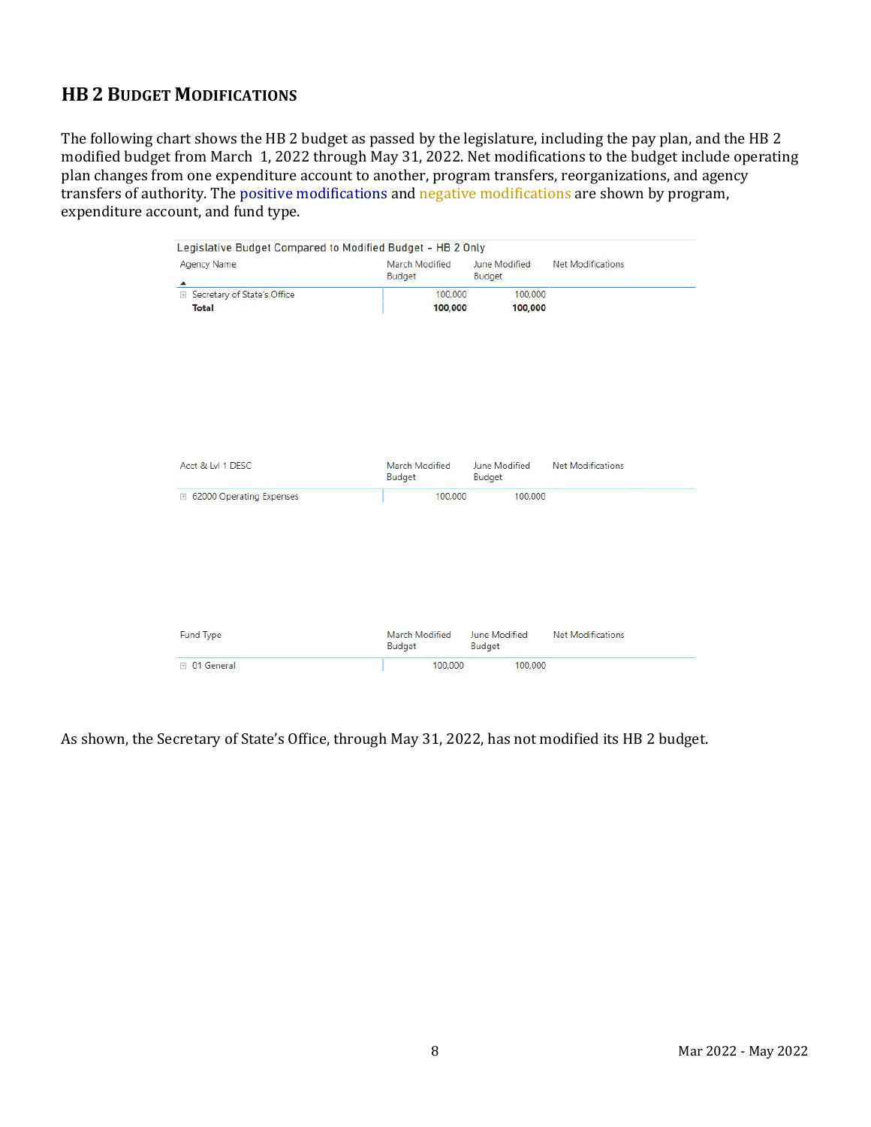# **HB 2 BUDGET MODIFICATIONS**

The following chart shows the HB 2 budget as passed by the legislature, including the pay plan, and the HB 2 modified budget from March 1, 2022 through May 31, 2022. Net modifications to the budget include operating plan changes from one expenditure account to another, program transfers, reorganizations, and agency transfers of authority. The positive modifications and negative modifications are shown by program, expenditure account, and fund type.

| <b>Agency Name</b>            | March Modified           | June Modified           | Net Modifications        |
|-------------------------------|--------------------------|-------------------------|--------------------------|
| ▲                             | <b>Budget</b>            | <b>Budget</b>           |                          |
| E Secretary of State's Office | 100,000                  | 100,000                 |                          |
| <b>Total</b>                  | 100,000                  | 100,000                 |                          |
|                               |                          |                         |                          |
|                               |                          |                         |                          |
| Acct & Lvl 1 DESC             | March Modified<br>Budget | June Modified<br>Budget | <b>Net Modifications</b> |
| □ 62000 Operating Expenses    | 100,000                  | 100,000                 |                          |
|                               | March Modified           | <b>June Modified</b>    | <b>Net Modifications</b> |
| <b>Fund Type</b>              | Budget                   | <b>Budget</b>           |                          |

As shown, the Secretary of State's Office, through May 31, 2022, has not modified its HB 2 budget.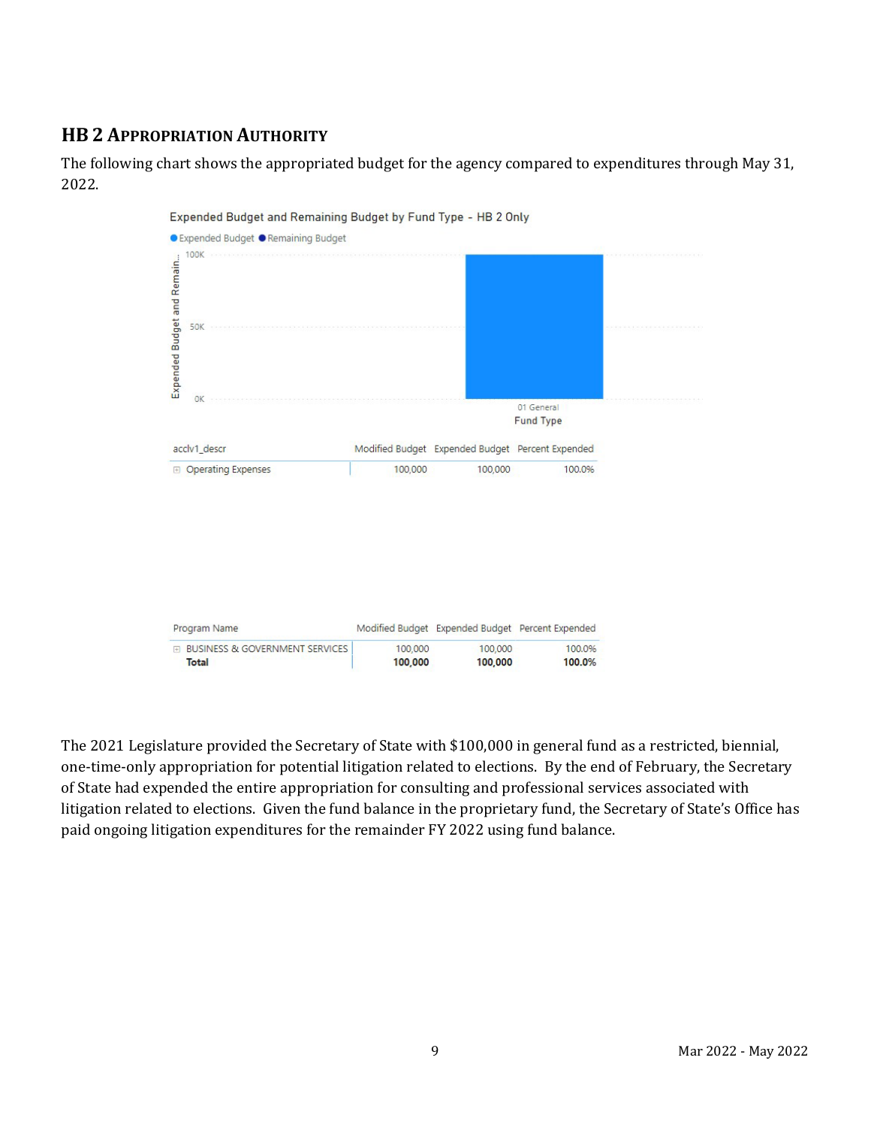# **HB 2 APPROPRIATION AUTHORITY**

The following chart shows the appropriated budget for the agency compared to expenditures through May 31, 2022.



The 2021 Legislature provided the Secretary of State with \$100,000 in general fund as a restricted, biennial, one-time-only appropriation for potential litigation related to elections. By the end of February, the Secretary of State had expended the entire appropriation for consulting and professional services associated with litigation related to elections. Given the fund balance in the proprietary fund, the Secretary of State's Office has paid ongoing litigation expenditures for the remainder FY 2022 using fund balance.